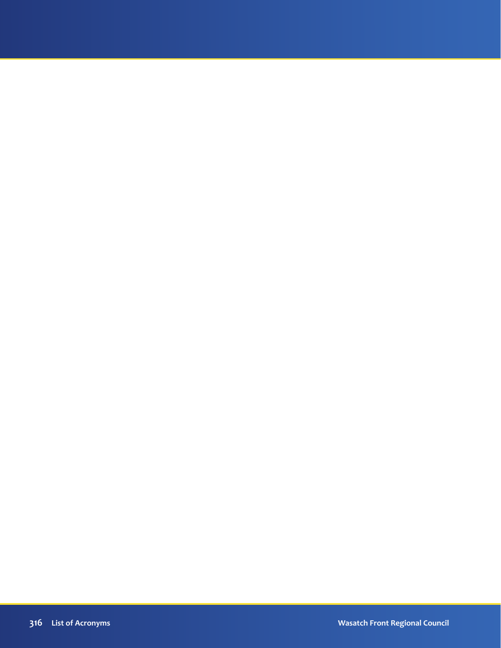**List of Acronyms Wasatch Front Regional Council**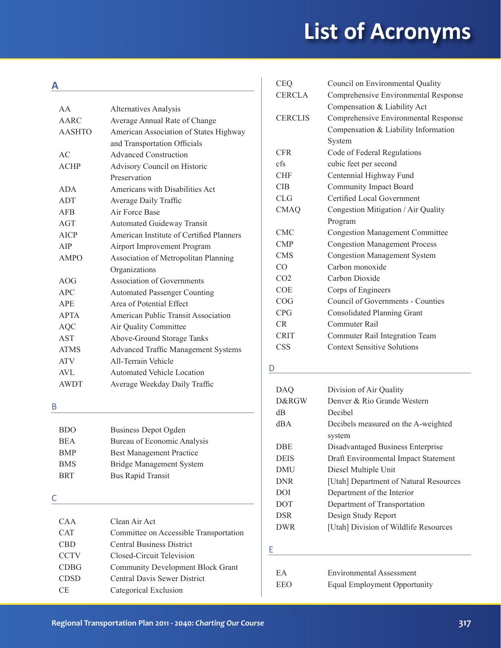| Δ             |                                            |
|---------------|--------------------------------------------|
|               |                                            |
| AA            | Alternatives Analysis                      |
| AARC          | Average Annual Rate of Change              |
| <b>AASHTO</b> | American Association of States Highway     |
|               | and Transportation Officials               |
| AC            | <b>Advanced Construction</b>               |
| <b>ACHP</b>   | Advisory Council on Historic               |
|               | Preservation                               |
| <b>ADA</b>    | Americans with Disabilities Act            |
| <b>ADT</b>    | Average Daily Traffic                      |
| <b>AFB</b>    | Air Force Base                             |
| AGT           | <b>Automated Guideway Transit</b>          |
| <b>AICP</b>   | American Institute of Certified Planners   |
| AIP           | Airport Improvement Program                |
| <b>AMPO</b>   | Association of Metropolitan Planning       |
|               | Organizations                              |
| AOG           | <b>Association of Governments</b>          |
| APC           | <b>Automated Passenger Counting</b>        |
| <b>APE</b>    | Area of Potential Effect                   |
| <b>APTA</b>   | American Public Transit Association        |
| <b>AQC</b>    | Air Quality Committee                      |
| <b>AST</b>    | Above-Ground Storage Tanks                 |
| <b>ATMS</b>   | <b>Advanced Traffic Management Systems</b> |
| <b>ATV</b>    | All-Terrain Vehicle                        |
| AVL           | Automated Vehicle Location                 |
| <b>AWDT</b>   | Average Weekday Daily Traffic              |

#### B

| <b>BDO</b> | <b>Business Depot Ogden</b>     |
|------------|---------------------------------|
| <b>BEA</b> | Bureau of Economic Analysis     |
| <b>BMP</b> | <b>Best Management Practice</b> |
| <b>BMS</b> | <b>Bridge Management System</b> |
| <b>BRT</b> | <b>Bus Rapid Transit</b>        |

#### C<sub>2</sub> C<sub>2</sub>

| CAA         | Clean Air Act                            |
|-------------|------------------------------------------|
| <b>CAT</b>  | Committee on Accessible Transportation   |
| <b>CBD</b>  | <b>Central Business District</b>         |
| <b>CCTV</b> | Closed-Circuit Television                |
| <b>CDBG</b> | <b>Community Development Block Grant</b> |
| <b>CDSD</b> | <b>Central Davis Sewer District</b>      |
| CE.         | Categorical Exclusion                    |

| <b>CEQ</b>      | Council on Environmental Quality       |
|-----------------|----------------------------------------|
| <b>CERCLA</b>   | Comprehensive Environmental Response   |
|                 | Compensation & Liability Act           |
| <b>CERCLIS</b>  | Comprehensive Environmental Response   |
|                 | Compensation & Liability Information   |
|                 | System                                 |
| <b>CFR</b>      | Code of Federal Regulations            |
| cfs             | cubic feet per second                  |
| <b>CHF</b>      | Centennial Highway Fund                |
| <b>CIB</b>      | <b>Community Impact Board</b>          |
| <b>CLG</b>      | Certified Local Government             |
| <b>CMAQ</b>     | Congestion Mitigation / Air Quality    |
|                 | Program                                |
| <b>CMC</b>      | <b>Congestion Management Committee</b> |
| <b>CMP</b>      | <b>Congestion Management Process</b>   |
| <b>CMS</b>      | <b>Congestion Management System</b>    |
| CO              | Carbon monoxide                        |
| CO <sub>2</sub> | Carbon Dioxide                         |
| <b>COE</b>      | Corps of Engineers                     |
| COG             | Council of Governments - Counties      |
| <b>CPG</b>      | <b>Consolidated Planning Grant</b>     |
| CR              | Commuter Rail                          |
| <b>CRIT</b>     | Commuter Rail Integration Team         |
| <b>CSS</b>      | <b>Context Sensitive Solutions</b>     |

#### D

| <b>DAO</b>  | Division of Air Quality                |
|-------------|----------------------------------------|
| D&RGW       | Denver & Rio Grande Western            |
| dВ          | Decibel                                |
| dBA         | Decibels measured on the A-weighted    |
|             | system                                 |
| <b>DBE</b>  | Disadvantaged Business Enterprise      |
| <b>DEIS</b> | Draft Environmental Impact Statement   |
| DMU         | Diesel Multiple Unit                   |
| <b>DNR</b>  | [Utah] Department of Natural Resources |
| DOI         | Department of the Interior             |
| <b>DOT</b>  | Department of Transportation           |
| <b>DSR</b>  | Design Study Report                    |
| <b>DWR</b>  | [Utah] Division of Wildlife Resources  |
|             |                                        |

E

| ЕA  | <b>Environmental Assessment</b> |
|-----|---------------------------------|
| EEO | Equal Employment Opportunity    |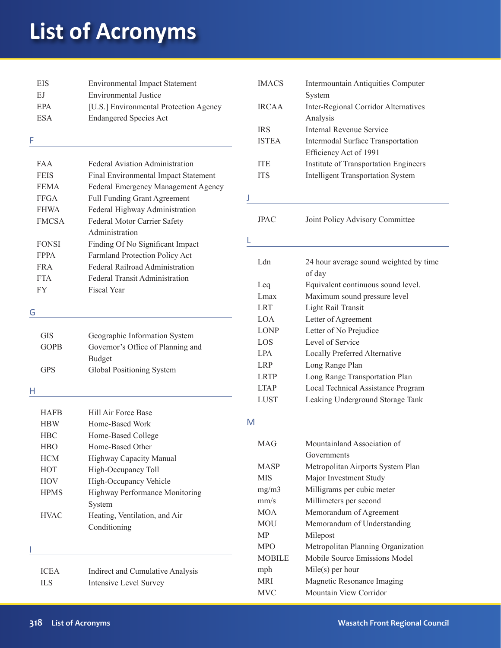| EIS<br>EJ<br>EPA<br><b>ESA</b> | <b>Environmental Impact Statement</b><br>Environmental Justice<br>[U.S.] Environmental Protection Agency<br><b>Endangered Species Act</b> |
|--------------------------------|-------------------------------------------------------------------------------------------------------------------------------------------|
| F                              |                                                                                                                                           |
| <b>FAA</b>                     | <b>Federal Aviation Administration</b>                                                                                                    |
| <b>FEIS</b>                    | Final Environmental Impact Statement                                                                                                      |
| <b>FEMA</b>                    | Federal Emergency Management Agency                                                                                                       |
| <b>FFGA</b>                    | <b>Full Funding Grant Agreement</b>                                                                                                       |
| <b>FHWA</b>                    | Federal Highway Administration                                                                                                            |
| <b>FMCSA</b>                   | Federal Motor Carrier Safety<br>Administration                                                                                            |
| <b>FONSI</b>                   | Finding Of No Significant Impact                                                                                                          |
| <b>FPPA</b>                    | Farmland Protection Policy Act                                                                                                            |
| <b>FRA</b>                     | <b>Federal Railroad Administration</b>                                                                                                    |
| <b>FTA</b>                     | <b>Federal Transit Administration</b>                                                                                                     |
| FY                             | <b>Fiscal Year</b>                                                                                                                        |
| G                              |                                                                                                                                           |
|                                |                                                                                                                                           |
| <b>GIS</b>                     | Geographic Information System                                                                                                             |
| <b>GOPB</b>                    | Governor's Office of Planning and                                                                                                         |
|                                | <b>Budget</b>                                                                                                                             |
| <b>GPS</b>                     | Global Positioning System                                                                                                                 |
| н                              |                                                                                                                                           |
| <b>HAFB</b>                    | Hill Air Force Base                                                                                                                       |
| <b>HBW</b>                     | Home-Based Work                                                                                                                           |
| <b>HBC</b>                     | Home-Based College                                                                                                                        |
| <b>HBO</b>                     | Home-Based Other                                                                                                                          |
| <b>HCM</b>                     | Highway Capacity Manual                                                                                                                   |
| HOT                            | High-Occupancy Toll                                                                                                                       |
| <b>HOV</b>                     | High-Occupancy Vehicle                                                                                                                    |
| <b>HPMS</b>                    | Highway Performance Monitoring                                                                                                            |
| <b>HVAC</b>                    | System<br>Heating, Ventilation, and Air                                                                                                   |
|                                | Conditioning                                                                                                                              |
| I                              |                                                                                                                                           |
|                                |                                                                                                                                           |
| <b>ICEA</b><br><b>ILS</b>      | Indirect and Cumulative Analysis<br><b>Intensive Level Survey</b>                                                                         |
|                                |                                                                                                                                           |

|   | <b>IMACS</b>     | <b>Intermountain Antiquities Computer</b>   |
|---|------------------|---------------------------------------------|
|   |                  | System                                      |
|   | <b>IRCAA</b>     | <b>Inter-Regional Corridor Alternatives</b> |
|   |                  | Analysis                                    |
|   | <b>IRS</b>       | <b>Internal Revenue Service</b>             |
|   | <b>ISTEA</b>     | Intermodal Surface Transportation           |
|   |                  | Efficiency Act of 1991                      |
|   | <b>ITE</b>       | Institute of Transportation Engineers       |
|   | <b>ITS</b>       | <b>Intelligent Transportation System</b>    |
|   |                  |                                             |
|   |                  |                                             |
|   |                  |                                             |
|   | <b>JPAC</b>      | Joint Policy Advisory Committee             |
|   |                  |                                             |
|   |                  |                                             |
|   | L <sub>dn</sub>  | 24 hour average sound weighted by time      |
|   |                  | of day                                      |
|   | Leq              | Equivalent continuous sound level.          |
|   | L <sub>max</sub> | Maximum sound pressure level                |
|   | <b>LRT</b>       | Light Rail Transit                          |
|   | LOA              | Letter of Agreement                         |
|   | <b>LONP</b>      | Letter of No Prejudice                      |
|   | LOS              | Level of Service                            |
|   | <b>LPA</b>       | Locally Preferred Alternative               |
|   | <b>LRP</b>       | Long Range Plan                             |
|   | <b>LRTP</b>      | Long Range Transportation Plan              |
|   | <b>LTAP</b>      | Local Technical Assistance Program          |
|   | <b>LUST</b>      | Leaking Underground Storage Tank            |
|   |                  |                                             |
|   |                  |                                             |
| M |                  |                                             |

| <b>MAG</b>    | Mountainland Association of        |
|---------------|------------------------------------|
|               | Governments                        |
| <b>MASP</b>   | Metropolitan Airports System Plan  |
| <b>MIS</b>    | Major Investment Study             |
| mg/m3         | Milligrams per cubic meter         |
| mm/s          | Millimeters per second             |
| <b>MOA</b>    | Memorandum of Agreement            |
| <b>MOU</b>    | Memorandum of Understanding        |
| <b>MP</b>     | Milepost                           |
| <b>MPO</b>    | Metropolitan Planning Organization |
| <b>MOBILE</b> | Mobile Source Emissions Model      |
| mph           | $Mile(s)$ per hour                 |
| <b>MRI</b>    | Magnetic Resonance Imaging         |
| <b>MVC</b>    | Mountain View Corridor             |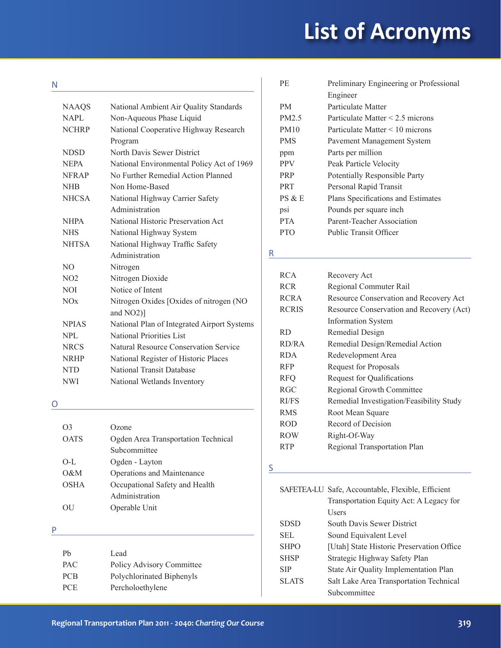| <b>NAAQS</b>    | National Ambient Air Quality Standards      |
|-----------------|---------------------------------------------|
| NAPL.           | Non-Aqueous Phase Liquid                    |
| <b>NCHRP</b>    | National Cooperative Highway Research       |
|                 | Program                                     |
| <b>NDSD</b>     | North Davis Sewer District                  |
| <b>NEPA</b>     | National Environmental Policy Act of 1969   |
| <b>NFRAP</b>    | No Further Remedial Action Planned          |
| <b>NHB</b>      | Non Home-Based                              |
| <b>NHCSA</b>    | National Highway Carrier Safety             |
|                 | Administration                              |
| <b>NHPA</b>     | National Historic Preservation Act          |
| <b>NHS</b>      | National Highway System                     |
| <b>NHTSA</b>    | National Highway Traffic Safety             |
|                 | Administration                              |
| NO.             | Nitrogen                                    |
| NO <sub>2</sub> | Nitrogen Dioxide                            |
| <b>NOI</b>      | Notice of Intent                            |
| NOx             | Nitrogen Oxides [Oxides of nitrogen (NO     |
|                 | and $NO2$ ]                                 |
| <b>NPIAS</b>    | National Plan of Integrated Airport Systems |
| NPL             | National Priorities List                    |
| <b>NRCS</b>     | Natural Resource Conservation Service       |
| <b>NRHP</b>     | National Register of Historic Places        |
| NTD.            | National Transit Database                   |
| <b>NWI</b>      | National Wetlands Inventory                 |
|                 |                                             |

#### $\overline{\mathsf{O}}$

N

| 03          | Ozone                               |
|-------------|-------------------------------------|
| <b>OATS</b> | Ogden Area Transportation Technical |
|             | Subcommittee                        |
| $O-I$ .     | Ogden - Layton                      |
| O&M         | Operations and Maintenance          |
| OSHA        | Occupational Safety and Health      |
|             | Administration                      |
| OН          | Operable Unit                       |
|             |                                     |

#### P

| Pb   | Lead                      |
|------|---------------------------|
| PAC  | Policy Advisory Committee |
| PCB  | Polychlorinated Biphenyls |
| PCE. | Percholoethylene          |

| PE.               | Preliminary Engineering or Professional |
|-------------------|-----------------------------------------|
|                   | Engineer                                |
| <b>PM</b>         | Particulate Matter                      |
| PM <sub>2.5</sub> | Particulate Matter $\leq$ 2.5 microns   |
| <b>PM10</b>       | Particulate Matter $\leq 10$ microns    |
| <b>PMS</b>        | Pavement Management System              |
| ppm               | Parts per million                       |
| <b>PPV</b>        | Peak Particle Velocity                  |
| <b>PRP</b>        | <b>Potentially Responsible Party</b>    |
| <b>PRT</b>        | Personal Rapid Transit                  |
| PS & E            | Plans Specifications and Estimates      |
| psi               | Pounds per square inch                  |
| <b>PTA</b>        | Parent-Teacher Association              |
| <b>PTO</b>        | <b>Public Transit Officer</b>           |

#### R

| <b>RCA</b>   | Recovery Act                             |
|--------------|------------------------------------------|
| RCR.         | Regional Commuter Rail                   |
| <b>RCRA</b>  | Resource Conservation and Recovery Act   |
| <b>RCRIS</b> | Resource Conservation and Recovery (Act) |
|              | <b>Information System</b>                |
| RD.          | Remedial Design                          |
| RD/RA        | Remedial Design/Remedial Action          |
| <b>RDA</b>   | Redevelopment Area                       |
| <b>RFP</b>   | Request for Proposals                    |
| <b>RFQ</b>   | <b>Request for Qualifications</b>        |
| RGC          | Regional Growth Committee                |
| RI/FS        | Remedial Investigation/Feasibility Study |
| <b>RMS</b>   | Root Mean Square                         |
| <b>ROD</b>   | Record of Decision                       |
| <b>ROW</b>   | Right-Of-Way                             |
| <b>RTP</b>   | Regional Transportation Plan             |
|              |                                          |

#### <u>S</u> and the second contract of the second contract of the second contract of the second contract of the second contract of the second contract of the second contract of the second contract of the second contract of the sec

|              | SAFETEA-LU Safe, Accountable, Flexible, Efficient |
|--------------|---------------------------------------------------|
|              | Transportation Equity Act: A Legacy for           |
|              | Users                                             |
| <b>SDSD</b>  | South Davis Sewer District                        |
| SEL.         | Sound Equivalent Level                            |
| <b>SHPO</b>  | [Utah] State Historic Preservation Office         |
| <b>SHSP</b>  | Strategic Highway Safety Plan                     |
| <b>SIP</b>   | State Air Quality Implementation Plan             |
| <b>SLATS</b> | Salt Lake Area Transportation Technical           |
|              | Subcommittee                                      |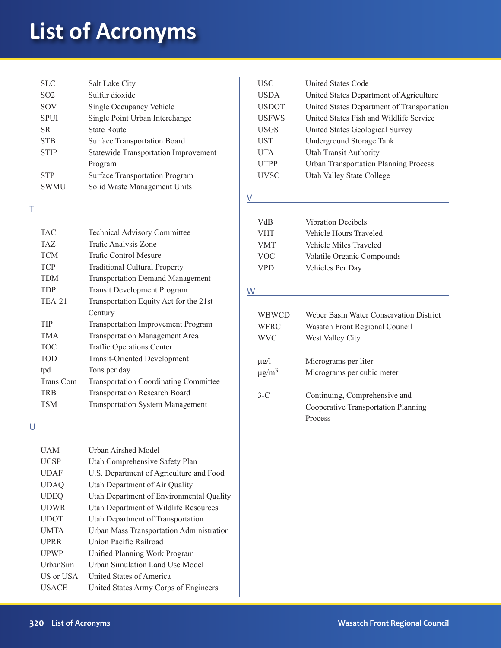| <b>SLC</b>      | Salt Lake City                              |
|-----------------|---------------------------------------------|
| SO <sub>2</sub> | Sulfur dioxide                              |
| SOV             | Single Occupancy Vehicle                    |
| <b>SPUI</b>     | Single Point Urban Interchange              |
| SR.             | <b>State Route</b>                          |
| <b>STB</b>      | <b>Surface Transportation Board</b>         |
| <b>STIP</b>     | <b>Statewide Transportation Improvement</b> |
|                 | Program                                     |
| <b>STP</b>      | <b>Surface Transportation Program</b>       |
| <b>SWMU</b>     | Solid Waste Management Units                |
|                 |                                             |

the control of the control of the control of

T

| <b>TAC</b>    | <b>Technical Advisory Committee</b>          |
|---------------|----------------------------------------------|
| TAZ.          | Trafic Analysis Zone                         |
| <b>TCM</b>    | <b>Trafic Control Mesure</b>                 |
| <b>TCP</b>    | <b>Traditional Cultural Property</b>         |
| <b>TDM</b>    | <b>Transportation Demand Management</b>      |
| <b>TDP</b>    | <b>Transit Development Program</b>           |
| <b>TEA-21</b> | Transportation Equity Act for the 21st       |
|               | Century                                      |
| <b>TIP</b>    | <b>Transportation Improvement Program</b>    |
| <b>TMA</b>    | <b>Transportation Management Area</b>        |
| <b>TOC</b>    | <b>Traffic Operations Center</b>             |
| <b>TOD</b>    | <b>Transit-Oriented Development</b>          |
| tpd           | Tons per day                                 |
| Trans Com     | <b>Transportation Coordinating Committee</b> |
| <b>TRB</b>    | <b>Transportation Research Board</b>         |
| <b>TSM</b>    | <b>Transportation System Management</b>      |
|               |                                              |

U

| UAM         | Urban Airshed Model                      |
|-------------|------------------------------------------|
| <b>UCSP</b> | Utah Comprehensive Safety Plan           |
| <b>UDAF</b> | U.S. Department of Agriculture and Food  |
| <b>UDAO</b> | Utah Department of Air Quality           |
| <b>UDEQ</b> | Utah Department of Environmental Quality |
| <b>UDWR</b> | Utah Department of Wildlife Resources    |
| <b>UDOT</b> | Utah Department of Transportation        |
| <b>UMTA</b> | Urban Mass Transportation Administration |
| UPRR        | Union Pacific Railroad                   |
| <b>UPWP</b> | Unified Planning Work Program            |
| UrbanSim    | Urban Simulation Land Use Model          |
| US or USA   | United States of America                 |
| USACE       | United States Army Corps of Engineers    |
|             |                                          |

| USC          | <b>United States Code</b>                    |
|--------------|----------------------------------------------|
| <b>USDA</b>  | United States Department of Agriculture      |
| <b>USDOT</b> | United States Department of Transportation   |
| <b>USFWS</b> | United States Fish and Wildlife Service      |
| <b>USGS</b>  | United States Geological Survey              |
| <b>UST</b>   | <b>Underground Storage Tank</b>              |
| <b>UTA</b>   | <b>Utah Transit Authority</b>                |
| <b>UTPP</b>  | <b>Urban Transportation Planning Process</b> |
| <b>UVSC</b>  | Utah Valley State College                    |
|              |                                              |

#### V

| VdB        | <b>Vibration Decibels</b>  |
|------------|----------------------------|
| <b>VHT</b> | Vehicle Hours Traveled     |
| <b>VMT</b> | Vehicle Miles Traveled     |
| VOC.       | Volatile Organic Compounds |
| VPD        | Vehicles Per Day           |
|            |                            |

W

| <b>WBWCD</b>           | Weber Basin Water Conservation District    |
|------------------------|--------------------------------------------|
| <b>WFRC</b>            | Wasatch Front Regional Council             |
| <b>WVC</b>             | West Valley City                           |
|                        |                                            |
| $\mu$ g/l              | Micrograms per liter                       |
| $\mu$ g/m <sup>3</sup> | Micrograms per cubic meter                 |
|                        |                                            |
| $3-C$                  | Continuing, Comprehensive and              |
|                        | <b>Cooperative Transportation Planning</b> |
|                        | Process                                    |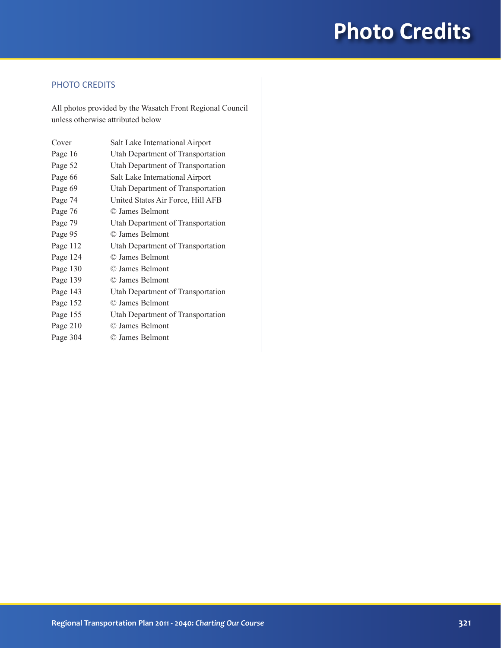### **Photo Credits**

#### PHOTO CREDITS

All photos provided by the Wasatch Front Regional Council unless otherwise attributed below

| Cover    | Salt Lake International Airport   |
|----------|-----------------------------------|
| Page 16  | Utah Department of Transportation |
| Page 52  | Utah Department of Transportation |
| Page 66  | Salt Lake International Airport   |
| Page 69  | Utah Department of Transportation |
| Page 74  | United States Air Force, Hill AFB |
| Page 76  | © James Belmont                   |
| Page 79  | Utah Department of Transportation |
| Page 95  | © James Belmont                   |
| Page 112 | Utah Department of Transportation |
| Page 124 | © James Belmont                   |
| Page 130 | © James Belmont                   |
| Page 139 | © James Belmont                   |
| Page 143 | Utah Department of Transportation |
| Page 152 | © James Belmont                   |
| Page 155 | Utah Department of Transportation |
| Page 210 | © James Belmont                   |
| Page 304 | © James Belmont                   |
|          |                                   |